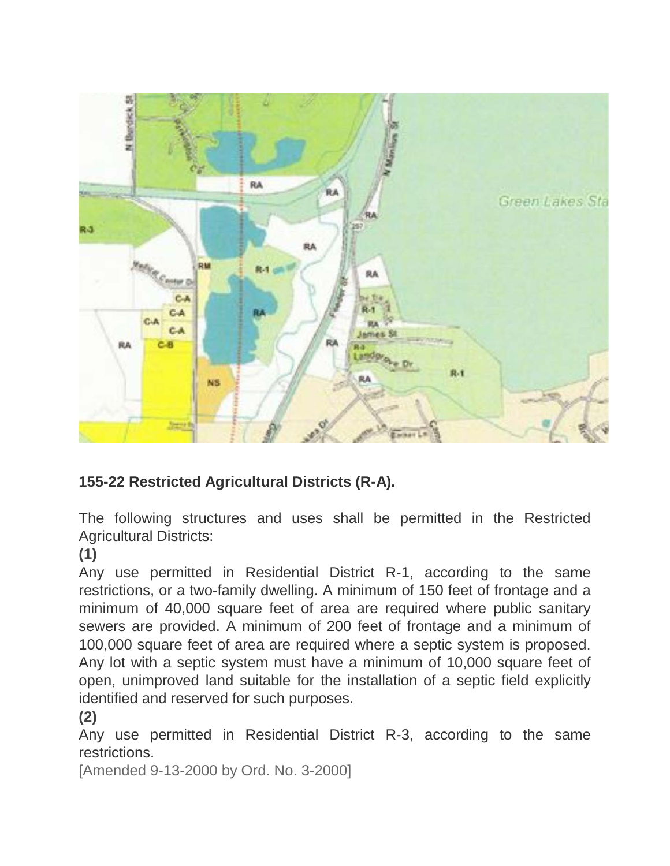

## **155-22 Restricted Agricultural Districts (R-A).**

The following structures and uses shall be permitted in the Restricted Agricultural Districts:

**[\(1\)](https://ecode360.com/11049267#11049267)**

Any use permitted in Residential District R-1, according to the same restrictions, or a two-family dwelling. A minimum of 150 feet of frontage and a minimum of 40,000 square feet of area are required where public sanitary sewers are provided. A minimum of 200 feet of frontage and a minimum of 100,000 square feet of area are required where a septic system is proposed. Any lot with a septic system must have a minimum of 10,000 square feet of open, unimproved land suitable for the installation of a septic field explicitly identified and reserved for such purposes.

## **[\(2\)](https://ecode360.com/11049268#11049268)**

Any use permitted in Residential District R-3, according to the same restrictions.

[Amended 9-13-2000 by Ord. No. 3-2000]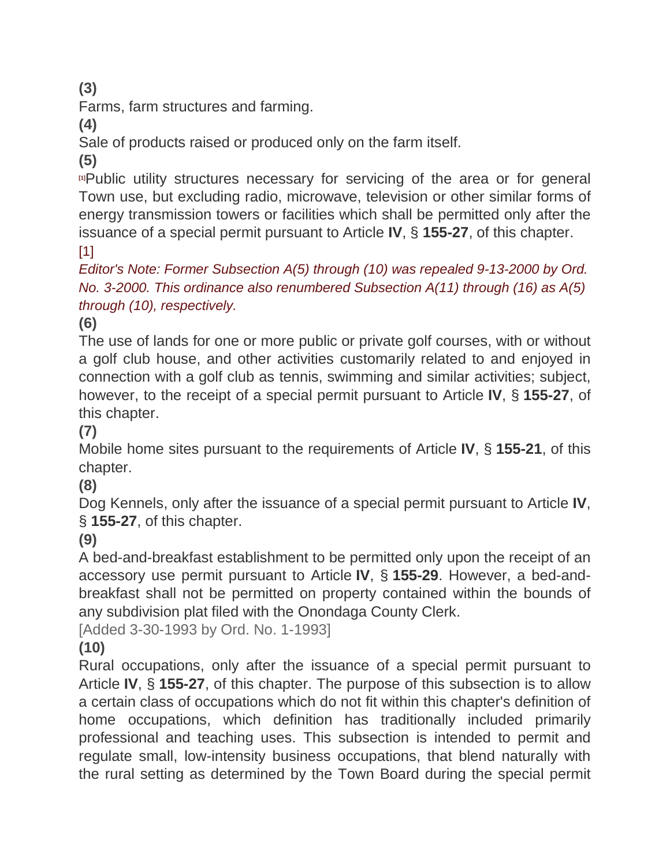**[\(3\)](https://ecode360.com/11049269#11049269)**

Farms, farm structures and farming.

**[\(4\)](https://ecode360.com/11049270#11049270)**

Sale of products raised or produced only on the farm itself.

**[\(5\)](https://ecode360.com/11049271#11049271)**

**[\[1\]](https://ecode360.com/11049265#ft11049271-1)**Public utility structures necessary for servicing of the area or for general Town use, but excluding radio, microwave, television or other similar forms of energy transmission towers or facilities which shall be permitted only after the issuance of a special permit pursuant to Article **[IV](https://ecode360.com/11049398#11049398)**, § **[155-27](https://ecode360.com/11049525#11049525)**, of this chapter. [\[1\]](https://ecode360.com/11049265#ref11049271-1)

*Editor's Note: Former Subsection A(5) through (10) was repealed 9-13-2000 by Ord. No. 3-2000. This ordinance also renumbered Subsection A(11) through (16) as A(5) through (10), respectively.*

**[\(6\)](https://ecode360.com/11049272#11049272)**

The use of lands for one or more public or private golf courses, with or without a golf club house, and other activities customarily related to and enjoyed in connection with a golf club as tennis, swimming and similar activities; subject, however, to the receipt of a special permit pursuant to Article **[IV](https://ecode360.com/11049398#11049398)**, § **[155-27](https://ecode360.com/11049525#11049525)**, of this chapter.

**[\(7\)](https://ecode360.com/11049273#11049273)**

Mobile home sites pursuant to the requirements of Article **[IV](https://ecode360.com/11049398#11049398)**, § **[155-21](https://ecode360.com/11049399#11049399)**, of this chapter.

**[\(8\)](https://ecode360.com/11049274#11049274)**

Dog Kennels, only after the issuance of a special permit pursuant to Article **[IV](https://ecode360.com/11049398#11049398)**, § **[155-27](https://ecode360.com/11049525#11049525)**, of this chapter.

**[\(9\)](https://ecode360.com/11049275#11049275)**

A bed-and-breakfast establishment to be permitted only upon the receipt of an accessory use permit pursuant to Article **[IV](https://ecode360.com/11049398#11049398)**, § **[155-29](https://ecode360.com/11049579#11049579)**. However, a bed-andbreakfast shall not be permitted on property contained within the bounds of any subdivision plat filed with the Onondaga County Clerk.

[Added 3-30-1993 by Ord. No. 1-1993]

## **[\(10\)](https://ecode360.com/11049276#11049276)**

Rural occupations, only after the issuance of a special permit pursuant to Article **[IV](https://ecode360.com/11049398#11049398)**, § **[155-27](https://ecode360.com/11049525#11049525)**, of this chapter. The purpose of this subsection is to allow a certain class of occupations which do not fit within this chapter's definition of home occupations, which definition has traditionally included primarily professional and teaching uses. This subsection is intended to permit and regulate small, low-intensity business occupations, that blend naturally with the rural setting as determined by the Town Board during the special permit